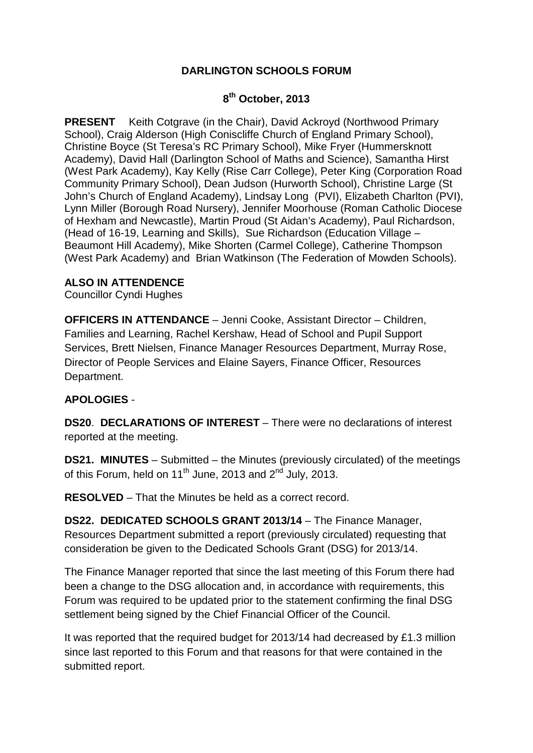## **DARLINGTON SCHOOLS FORUM**

## **8th October, 2013**

**PRESENT** Keith Cotgrave (in the Chair), David Ackroyd (Northwood Primary School), Craig Alderson (High Coniscliffe Church of England Primary School), Christine Boyce (St Teresa's RC Primary School), Mike Fryer (Hummersknott Academy), David Hall (Darlington School of Maths and Science), Samantha Hirst (West Park Academy), Kay Kelly (Rise Carr College), Peter King (Corporation Road Community Primary School), Dean Judson (Hurworth School), Christine Large (St John's Church of England Academy), Lindsay Long (PVI), Elizabeth Charlton (PVI), Lynn Miller (Borough Road Nursery), Jennifer Moorhouse (Roman Catholic Diocese of Hexham and Newcastle), Martin Proud (St Aidan's Academy), Paul Richardson, (Head of 16-19, Learning and Skills), Sue Richardson (Education Village – Beaumont Hill Academy), Mike Shorten (Carmel College), Catherine Thompson (West Park Academy) and Brian Watkinson (The Federation of Mowden Schools).

## **ALSO IN ATTENDENCE**

Councillor Cyndi Hughes

**OFFICERS IN ATTENDANCE** – Jenni Cooke, Assistant Director – Children, Families and Learning, Rachel Kershaw, Head of School and Pupil Support Services, Brett Nielsen, Finance Manager Resources Department, Murray Rose, Director of People Services and Elaine Sayers, Finance Officer, Resources Department.

## **APOLOGIES** -

**DS20**. **DECLARATIONS OF INTEREST** – There were no declarations of interest reported at the meeting.

**DS21. MINUTES** – Submitted – the Minutes (previously circulated) of the meetings of this Forum, held on  $11^{th}$  June, 2013 and  $2^{nd}$  July, 2013.

**RESOLVED** – That the Minutes be held as a correct record.

**DS22. DEDICATED SCHOOLS GRANT 2013/14** – The Finance Manager, Resources Department submitted a report (previously circulated) requesting that consideration be given to the Dedicated Schools Grant (DSG) for 2013/14.

The Finance Manager reported that since the last meeting of this Forum there had been a change to the DSG allocation and, in accordance with requirements, this Forum was required to be updated prior to the statement confirming the final DSG settlement being signed by the Chief Financial Officer of the Council.

It was reported that the required budget for 2013/14 had decreased by £1.3 million since last reported to this Forum and that reasons for that were contained in the submitted report.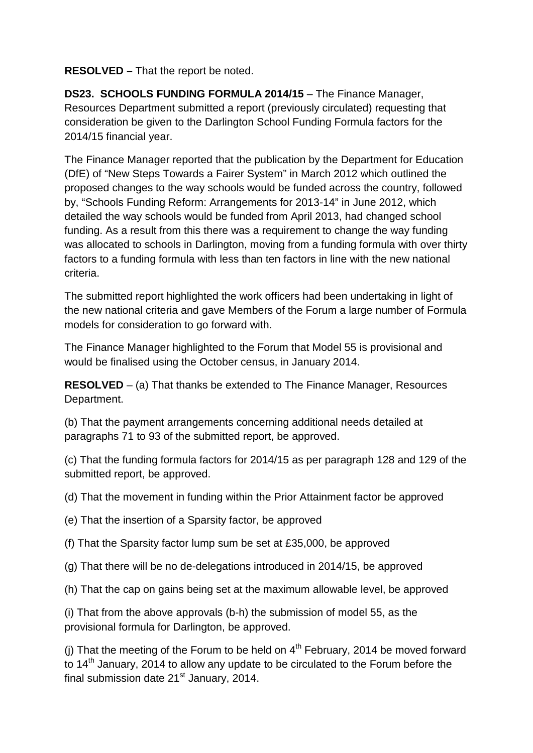**RESOLVED –** That the report be noted.

**DS23. SCHOOLS FUNDING FORMULA 2014/15 - The Finance Manager,** Resources Department submitted a report (previously circulated) requesting that consideration be given to the Darlington School Funding Formula factors for the 2014/15 financial year.

The Finance Manager reported that the publication by the Department for Education (DfE) of "New Steps Towards a Fairer System" in March 2012 which outlined the proposed changes to the way schools would be funded across the country, followed by, "Schools Funding Reform: Arrangements for 2013-14" in June 2012, which detailed the way schools would be funded from April 2013, had changed school funding. As a result from this there was a requirement to change the way funding was allocated to schools in Darlington, moving from a funding formula with over thirty factors to a funding formula with less than ten factors in line with the new national criteria.

The submitted report highlighted the work officers had been undertaking in light of the new national criteria and gave Members of the Forum a large number of Formula models for consideration to go forward with.

The Finance Manager highlighted to the Forum that Model 55 is provisional and would be finalised using the October census, in January 2014.

**RESOLVED** – (a) That thanks be extended to The Finance Manager, Resources Department.

(b) That the payment arrangements concerning additional needs detailed at paragraphs 71 to 93 of the submitted report, be approved.

(c) That the funding formula factors for 2014/15 as per paragraph 128 and 129 of the submitted report, be approved.

(d) That the movement in funding within the Prior Attainment factor be approved

(e) That the insertion of a Sparsity factor, be approved

(f) That the Sparsity factor lump sum be set at £35,000, be approved

(g) That there will be no de-delegations introduced in 2014/15, be approved

(h) That the cap on gains being set at the maximum allowable level, be approved

(i) That from the above approvals (b-h) the submission of model 55, as the provisional formula for Darlington, be approved.

(i) That the meeting of the Forum to be held on  $4<sup>th</sup>$  February, 2014 be moved forward to  $14<sup>th</sup>$  January, 2014 to allow any update to be circulated to the Forum before the final submission date  $21<sup>st</sup>$  January, 2014.